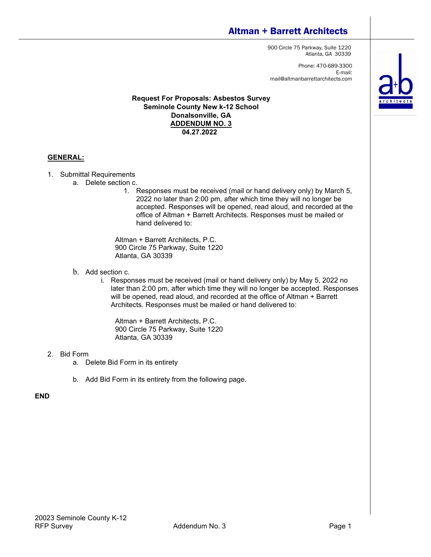# Altman + Barrett Architects

900 Circle 75 Parkway, Suite 1220 Atlanta, GA 30339

Phone: 470-689-3300 E-mail: mail@altmanbarrettarchitects.com

#### **Request For Proposals: Asbestos Survey Seminole County New k-12 School Donalsonville, GA ADDENDUM NO. 3 04.27.2022**

### **GENERAL:**

- 1. Submittal Requirements
	- a. Delete section c.
		- 1. Responses must be received (mail or hand delivery only) by March 5, 2022 no later than 2:00 pm, after which time they will no longer be accepted. Responses will be opened, read aloud, and recorded at the office of Altman + Barrett Architects. Responses must be mailed or hand delivered to:

Altman + Barrett Architects, P.C. 900 Circle 75 Parkway, Suite 1220 Atlanta, GA 30339

- b. Add section c.
	- i. Responses must be received (mail or hand delivery only) by May 5, 2022 no later than 2:00 pm, after which time they will no longer be accepted. Responses will be opened, read aloud, and recorded at the office of Altman + Barrett Architects. Responses must be mailed or hand delivered to:

Altman + Barrett Architects, P.C. 900 Circle 75 Parkway, Suite 1220 Atlanta, GA 30339

#### 2. Bid Form

- a. Delete Bid Form in its entirety
- b. Add Bid Form in its entirety from the following page.

### **END**